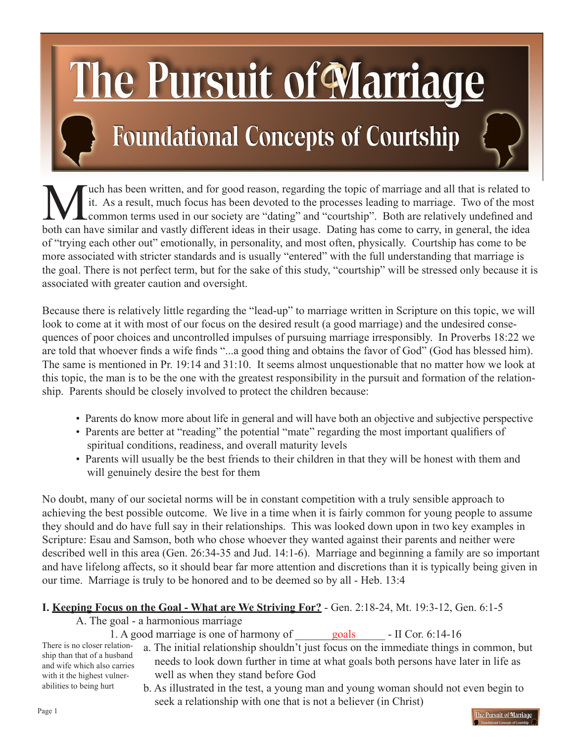# he Pursuit of Marriage

# **Foundational Concepts of Courtship**

Wuch has been written, and for good reason, regarding the topic of marriage and all that is related to it. As a result, much focus has been devoted to the processes leading to marriage. Two of the most common terms used in it. As a result, much focus has been devoted to the processes leading to marriage. Two of the most common terms used in our society are "dating" and "courtship". Both are relatively undefined and both can have similar and vastly different ideas in their usage. Dating has come to carry, in general, the idea of "trying each other out" emotionally, in personality, and most often, physically. Courtship has come to be more associated with stricter standards and is usually "entered" with the full understanding that marriage is the goal. There is not perfect term, but for the sake of this study, "courtship" will be stressed only because it is associated with greater caution and oversight.

Because there is relatively little regarding the "lead-up" to marriage written in Scripture on this topic, we will look to come at it with most of our focus on the desired result (a good marriage) and the undesired consequences of poor choices and uncontrolled impulses of pursuing marriage irresponsibly. In Proverbs 18:22 we are told that whoever finds a wife finds "...a good thing and obtains the favor of God" (God has blessed him). The same is mentioned in Pr. 19:14 and 31:10. It seems almost unquestionable that no matter how we look at this topic, the man is to be the one with the greatest responsibility in the pursuit and formation of the relationship. Parents should be closely involved to protect the children because:

- Parents do know more about life in general and will have both an objective and subjective perspective
- Parents are better at "reading" the potential "mate" regarding the most important qualifiers of spiritual conditions, readiness, and overall maturity levels
- Parents will usually be the best friends to their children in that they will be honest with them and will genuinely desire the best for them

No doubt, many of our societal norms will be in constant competition with a truly sensible approach to achieving the best possible outcome. We live in a time when it is fairly common for young people to assume they should and do have full say in their relationships. This was looked down upon in two key examples in Scripture: Esau and Samson, both who chose whoever they wanted against their parents and neither were described well in this area (Gen. 26:34-35 and Jud. 14:1-6). Marriage and beginning a family are so important and have lifelong affects, so it should bear far more attention and discretions than it is typically being given in our time. Marriage is truly to be honored and to be deemed so by all - Heb. 13:4

# **I. Keeping Focus on the Goal - What are We Striving For?** - Gen. 2:18-24, Mt. 19:3-12, Gen. 6:1-5

A. The goal - a harmonious marriage

1. A good marriage is one of harmony of \_\_\_\_\_\_\_\_\_\_\_\_\_\_\_\_ - II Cor. 6:14-16 goals

There is no closer relationship than that of a husband and wife which also carries with it the highest vulnerabilities to being hurt

- a. The initial relationship shouldn't just focus on the immediate things in common, but needs to look down further in time at what goals both persons have later in life as well as when they stand before God
- b. As illustrated in the test, a young man and young woman should not even begin to seek a relationship with one that is not a believer (in Christ)

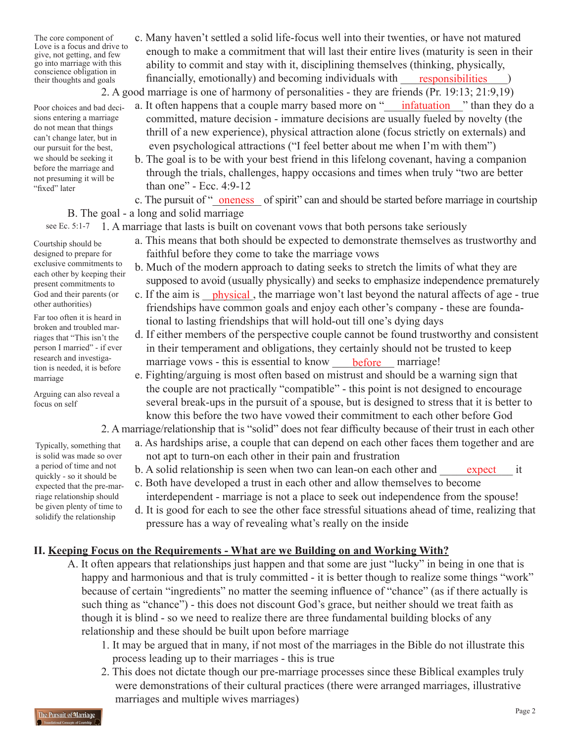The core component of Love is a focus and drive to give, not getting, and few go into marriage with this conscience obligation in their thoughts and goals

sions entering a marriage do not mean that things can't change later, but in our pursuit for the best, we should be seeking it before the marriage and not presuming it will be

"fixed" later

 c. Many haven't settled a solid life-focus well into their twenties, or have not matured enough to make a commitment that will last their entire lives (maturity is seen in their ability to commit and stay with it, disciplining themselves (thinking, physically, financially, emotionally) and becoming individuals with 2. A good marriage is one of harmony of personalities - they are friends (Pr. 19:13; 21:9,19) responsibilities

Poor choices and bad deci- a. It often happens that a couple marry based more on "*\_\_\_\_\_\_\_\_\_\_\_\_\_\_\_\_*" than they do a Poor choices and bad deci-

- committed, mature decision immature decisions are usually fueled by novelty (the thrill of a new experience), physical attraction alone (focus strictly on externals) and even psychological attractions ("I feel better about me when I'm with them")
	- b. The goal is to be with your best friend in this lifelong covenant, having a companion through the trials, challenges, happy occasions and times when truly "two are better than one" - Ecc. 4:9-12

c. The pursuit of "<u>oneness</u> of spirit" can and should be started before marriage in courtship B. The goal - a long and solid marriage

 1. A marriage that lasts is built on covenant vows that both persons take seriously see Ec. 5:1-7

- a. This means that both should be expected to demonstrate themselves as trustworthy and faithful before they come to take the marriage vows
- b. Much of the modern approach to dating seeks to stretch the limits of what they are supposed to avoid (usually physically) and seeks to emphasize independence prematurely
- God and their parents (or c. If the aim is *\_\_\_\_\_\_\_\_\_\_\_\_\_,* the marriage won't last beyond the natural affects of age true friendships have common goals and enjoy each other's company - these are founda tional to lasting friendships that will hold-out till one's dying days
- d. If either members of the perspective couple cannot be found trustworthy and consistent in their temperament and obligations, they certainly should not be trusted to keep research and investiga-<br>tion is needed it is before marriage vows - this is essential to know <u>before</u> marriage!
	- e. Fighting/arguing is most often based on mistrust and should be a warning sign that the couple are not practically "compatible" - this point is not designed to encourage several break-ups in the pursuit of a spouse, but is designed to stress that it is better to know this before the two have vowed their commitment to each other before God

#### 2. A marriage/relationship that is "solid" does not fear difficulty because of their trust in each other

- a. As hardships arise, a couple that can depend on each other faces them together and are not apt to turn-on each other in their pain and frustration
- a period of time and not b. A solid relationship is seen when two can lean-on each other and <u>expect</u> it
	- c. Both have developed a trust in each other and allow themselves to become interdependent - marriage is not a place to seek out independence from the spouse!
	- d. It is good for each to see the other face stressful situations ahead of time, realizing that pressure has a way of revealing what's really on the inside

# **II. Keeping Focus on the Requirements - What are we Building on and Working With?**

- A. It often appears that relationships just happen and that some are just "lucky" in being in one that is happy and harmonious and that is truly committed - it is better though to realize some things "work" because of certain "ingredients" no matter the seeming influence of "chance" (as if there actually is such thing as "chance") - this does not discount God's grace, but neither should we treat faith as though it is blind - so we need to realize there are three fundamental building blocks of any relationship and these should be built upon before marriage
	- 1. It may be argued that in many, if not most of the marriages in the Bible do not illustrate this process leading up to their marriages - this is true
	- 2. This does not dictate though our pre-marriage processes since these Biblical examples truly were demonstrations of their cultural practices (there were arranged marriages, illustrative marriages and multiple wives marriages)

Courtship should be designed to prepare for exclusive commitments to each other by keeping their present commitments to God and their parents (or other authorities)

Far too often it is heard in broken and troubled marriages that "This isn't the person I married" - if ever research and investigation is needed, it is before marriage

Arguing can also reveal a focus on self

Typically, something that is solid was made so over a period of time and not quickly - so it should be expected that the pre-marriage relationship should be given plenty of time to solidify the relationship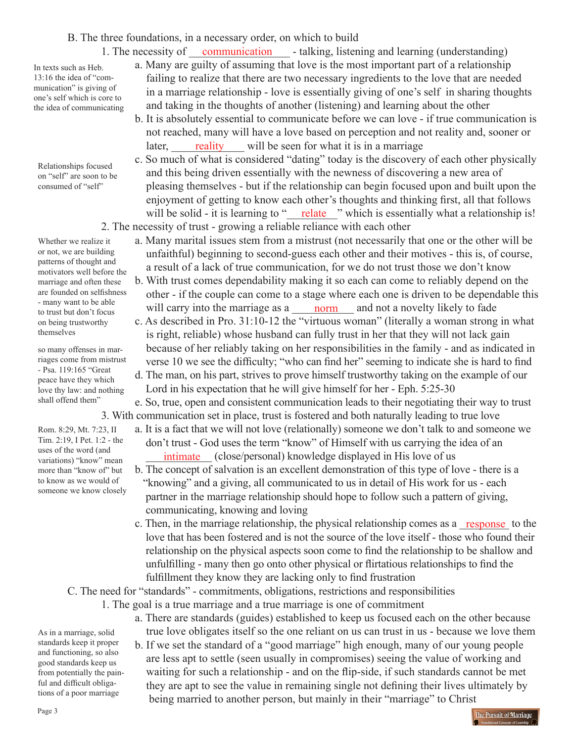#### B. The three foundations, in a necessary order, on which to build

In texts such as Heb. 13:16 the idea of "communication" is giving of one's self which is core to the idea of communicating

Relationships focused on "self" are soon to be consumed of "self"

Whether we realize it or not, we are building patterns of thought and motivators well before the marriage and often these are founded on selfishness - many want to be able to trust but don't focus on being trustworthy themselves

so many offenses in marriages come from mistrust - Psa. 119:165 "Great peace have they which love thy law: and nothing shall offend them"

Rom. 8:29, Mt. 7:23, II Tim. 2:19, I Pet. 1:2 - the uses of the word (and variations) "know" mean more than "know of" but to know as we would of someone we know closely

- 1. The necessity of <u>communication</u> talking, listening and learning (understanding) a. Many are guilty of assuming that love is the most important part of a relationship failing to realize that there are two necessary ingredients to the love that are needed in a marriage relationship - love is essentially giving of one's self in sharing thoughts and taking in the thoughts of another (listening) and learning about the other
- b. It is absolutely essential to communicate before we can love if true communication is not reached, many will have a love based on perception and not reality and, sooner or later, <u>reality</u> will be seen for what it is in a marriage
- c. So much of what is considered "dating" today is the discovery of each other physically and this being driven essentially with the newness of discovering a new area of pleasing themselves - but if the relationship can begin focused upon and built upon the enjoyment of getting to know each other's thoughts and thinking first, all that follows will be solid - it is learning to "<u>relate"</u> which is essentially what a relationship is! 2. The necessity of trust - growing a reliable reliance with each other
	- a. Many marital issues stem from a mistrust (not necessarily that one or the other will be unfaithful) beginning to second-guess each other and their motives - this is, of course, a result of a lack of true communication, for we do not trust those we don't know
- b. With trust comes dependability making it so each can come to reliably depend on the other - if the couple can come to a stage where each one is driven to be dependable this <sup>-</sup> many want to be able<br>to trust but don't focus will carry into the marriage as a <u>norm</u> and not a novelty likely to fade
	- c. As described in Pro. 31:10-12 the "virtuous woman" (literally a woman strong in what is right, reliable) whose husband can fully trust in her that they will not lack gain because of her reliably taking on her responsibilities in the family - and as indicated in verse 10 we see the difficulty; "who can find her" seeming to indicate she is hard to find
	- d. The man, on his part, strives to prove himself trustworthy taking on the example of our Lord in his expectation that he will give himself for her - Eph. 5:25-30

 e. So, true, open and consistent communication leads to their negotiating their way to trust 3. With communication set in place, trust is fostered and both naturally leading to true love

- a. It is a fact that we will not love (relationally) someone we don't talk to and someone we don't trust - God uses the term "know" of Himself with us carrying the idea of an  $\frac{1}{\text{variations}}$  "know" mean  $\frac{1}{\text{intimate}}$  (close/personal) knowledge displayed in His love of us
	- b. The concept of salvation is an excellent demonstration of this type of love there is a "knowing" and a giving, all communicated to us in detail of His work for us - each partner in the marriage relationship should hope to follow such a pattern of giving, communicating, knowing and loving
- c. Then, in the marriage relationship, the physical relationship comes as a <u>response</u> to the love that has been fostered and is not the source of the love itself - those who found their relationship on the physical aspects soon come to find the relationship to be shallow and unfulfilling - many then go onto other physical or flirtatious relationships to find the fulfillment they know they are lacking only to find frustration

C. The need for "standards" - commitments, obligations, restrictions and responsibilities

1. The goal is a true marriage and a true marriage is one of commitment

 a. There are standards (guides) established to keep us focused each on the other because true love obligates itself so the one reliant on us can trust in us - because we love them b. If we set the standard of a "good marriage" high enough, many of our young people are less apt to settle (seen usually in compromises) seeing the value of working and waiting for such a relationship - and on the flip-side, if such standards cannot be met they are apt to see the value in remaining single not defining their lives ultimately by being married to another person, but mainly in their "marriage" to Christ

The Pursuit of Marriage

As in a marriage, solid standards keep it proper and functioning, so also good standards keep us from potentially the painful and difficult obligations of a poor marriage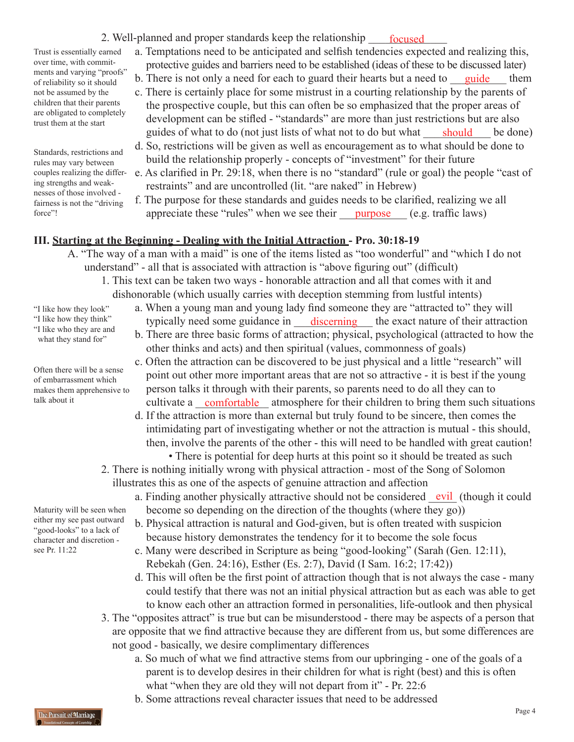2. Well-planned and proper standards keep the relationship <u>focused</u>

Trust is essentially earned over time, with commitments and varying "proofs" of reliability so it should not be assumed by the children that their parents are obligated to completely trust them at the start

Standards, restrictions and rules may vary between couples realizing the differing strengths and weaknesses of those involved fairness is not the "driving force"!

- a. Temptations need to be anticipated and selfish tendencies expected and realizing this, protective guides and barriers need to be established (ideas of these to be discussed later)
- of reliability so it should b. There is not only a need for each to guard their hearts but a need to <u>guide</u> them
	- c. There is certainly place for some mistrust in a courting relationship by the parents of the prospective couple, but this can often be so emphasized that the proper areas of development can be stifled - "standards" are more than just restrictions but are also guides of what to do (not just lists of what not to do but what <u>should</u> be done)
	- d. So, restrictions will be given as well as encouragement as to what should be done to build the relationship properly - concepts of "investment" for their future
	- e. As clarified in Pr. 29:18, when there is no "standard" (rule or goal) the people "cast of restraints" and are uncontrolled (lit. "are naked" in Hebrew)
	- f. The purpose for these standards and guides needs to be clarified, realizing we all appreciate these "rules" when we see their <u>purpose</u> (e.g. traffic laws)

## **III. Starting at the Beginning - Dealing with the Initial Attraction - Pro. 30:18-19**

- A. "The way of a man with a maid" is one of the items listed as "too wonderful" and "which I do not understand" - all that is associated with attraction is "above figuring out" (difficult)
	- 1. This text can be taken two ways honorable attraction and all that comes with it and dishonorable (which usually carries with deception stemming from lustful intents)
- "I like how they look"
- "I like how they think"
- "I like who they are and what they stand for"

Often there will be a sense of embarrassment which makes them apprehensive to talk about it

Maturity will be seen when either my see past outward "good-looks" to a lack of character and discretion see Pr. 11:22

- a. When a young man and young lady find someone they are "attracted to" they will "I like how they think" typically need some guidance in  $\mu$  discerning the exact nature of their attraction
	- b. There are three basic forms of attraction; physical, psychological (attracted to how the other thinks and acts) and then spiritual (values, commonness of goals)
- c. Often the attraction can be discovered to be just physical and a little "research" will point out other more important areas that are not so attractive - it is best if the young person talks it through with their parents, so parents need to do all they can to talk about it cultivate a <u>comfortable</u> atmosphere for their children to bring them such situations
	- d. If the attraction is more than external but truly found to be sincere, then comes the intimidating part of investigating whether or not the attraction is mutual - this should, then, involve the parents of the other - this will need to be handled with great caution!
		- There is potential for deep hurts at this point so it should be treated as such
	- 2. There is nothing initially wrong with physical attraction most of the Song of Solomon illustrates this as one of the aspects of genuine attraction and affection
- a. Finding another physically attractive should not be considered <u>vil</u> (though it could become so depending on the direction of the thoughts (where they go))
	- b. Physical attraction is natural and God-given, but is often treated with suspicion because history demonstrates the tendency for it to become the sole focus
	- c. Many were described in Scripture as being "good-looking" (Sarah (Gen. 12:11), Rebekah (Gen. 24:16), Esther (Es. 2:7), David (I Sam. 16:2; 17:42))
	- d. This will often be the first point of attraction though that is not always the case many could testify that there was not an initial physical attraction but as each was able to get to know each other an attraction formed in personalities, life-outlook and then physical
	- 3. The "opposites attract" is true but can be misunderstood there may be aspects of a person that are opposite that we find attractive because they are different from us, but some differences are not good - basically, we desire complimentary differences
		- a. So much of what we find attractive stems from our upbringing one of the goals of a parent is to develop desires in their children for what is right (best) and this is often what "when they are old they will not depart from it" - Pr. 22:6
		- b. Some attractions reveal character issues that need to be addressed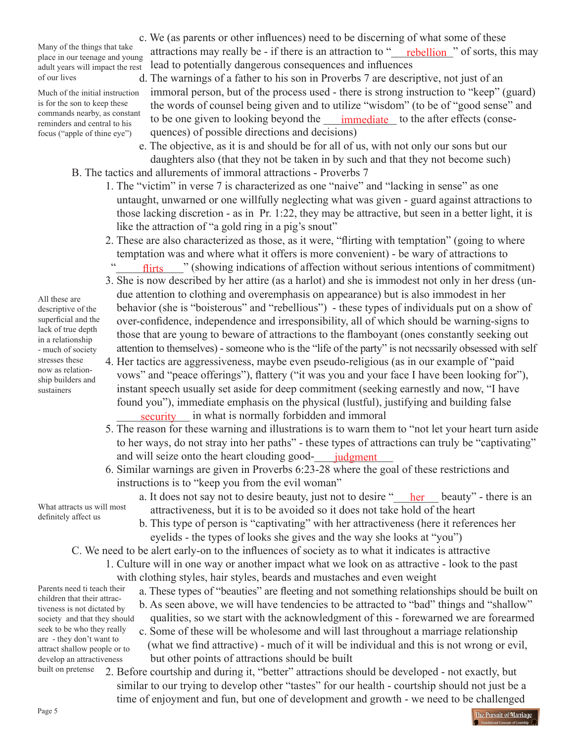Many of the things that take place in our teenage and young adult years will impact the rest of our lives

Much of the initial instruction is for the son to keep these commands nearby, as constant reminders and central to his focus ("apple of thine eye")

c. We (as parents or other influences) need to be discerning of what some of these attractions may really be - if there is an attraction to "\_\_\_\_\_\_\_\_\_\_\_" of sorts, this may rebellion lead to potentially dangerous consequences and influences

d. The warnings of a father to his son in Proverbs 7 are descriptive, not just of an immoral person, but of the process used - there is strong instruction to "keep" (guard) the words of counsel being given and to utilize "wisdom" (to be of "good sense" and  $t_{\text{reminders and central to his}}$  to be one given to looking beyond the  $\frac{t_{\text{immediate}}}{t_{\text{immediate}}}$  to the after effects (consequences) of possible directions and decisions)

- e. The objective, as it is and should be for all of us, with not only our sons but our daughters also (that they not be taken in by such and that they not become such) B. The tactics and allurements of immoral attractions - Proverbs 7
	- 1. The "victim" in verse 7 is characterized as one "naive" and "lacking in sense" as one untaught, unwarned or one willfully neglecting what was given - guard against attractions to those lacking discretion - as in Pr. 1:22, they may be attractive, but seen in a better light, it is like the attraction of "a gold ring in a pig's snout"
- 2. These are also characterized as those, as it were, "flirting with temptation" (going to where temptation was and where what it offers is more convenient) - be wary of attractions to "
<del>numeral</del>" (showing indications of affection without serious intentions of commitment)
	- 3. She is now described by her attire (as a harlot) and she is immodest not only in her dress (un due attention to clothing and overemphasis on appearance) but is also immodest in her behavior (she is "boisterous" and "rebellious") - these types of individuals put on a show of over-confidence, independence and irresponsibility, all of which should be warning-signs to those that are young to beware of attractions to the flamboyant (ones constantly seeking out attention to themselves) - someone who is the "life of the party" is not necssarily obsessed with self
- 4. Her tactics are aggressiveness, maybe even pseudo-religious (as in our example of "paid vows" and "peace offerings"), flattery ("it was you and your face I have been looking for"), instant speech usually set aside for deep commitment (seeking earnestly and now, "I have found you"), immediate emphasis on the physical (lustful), justifying and building false security in what is normally forbidden and immoral
- 5. The reason for these warning and illustrations is to warn them to "not let your heart turn aside to her ways, do not stray into her paths" - these types of attractions can truly be "captivating" and will seize onto the heart clouding good<u>judgment</u>
	- 6. Similar warnings are given in Proverbs 6:23-28 where the goal of these restrictions and instructions is to "keep you from the evil woman"
		- a. It does not say not to desire beauty, just not to desire "<u>her</u> beauty" there is an attractiveness, but it is to be avoided so it does not take hold of the heart
		- b. This type of person is "captivating" with her attractiveness (here it references her eyelids - the types of looks she gives and the way she looks at "you")
	- C. We need to be alert early-on to the influences of society as to what it indicates is attractive
- 1. Culture will in one way or another impact what we look on as attractive look to the past with clothing styles, hair styles, beards and mustaches and even weight Parents need ti teach their
	- a. These types of "beauties" are fleeting and not something relationships should be built on
	- b. As seen above, we will have tendencies to be attracted to "bad" things and "shallow"
		- qualities, so we start with the acknowledgment of this forewarned we are forearmed
	- c. Some of these will be wholesome and will last throughout a marriage relationship (what we find attractive) - much of it will be individual and this is not wrong or evil, but other points of attractions should be built

The Pursuit of Marriage

 2. Before courtship and during it, "better" attractions should be developed - not exactly, but similar to our trying to develop other "tastes" for our health - courtship should not just be a time of enjoyment and fun, but one of development and growth - we need to be challenged

All these are descriptive of the superficial and the lack of true depth in a relationship - much of society stresses these now as relationship builders and sustainers

What attracts us will most definitely affect us

children that their attractiveness is not dictated by society and that they should seek to be who they really are - they don't want to attract shallow people or to develop an attractiveness built on pretense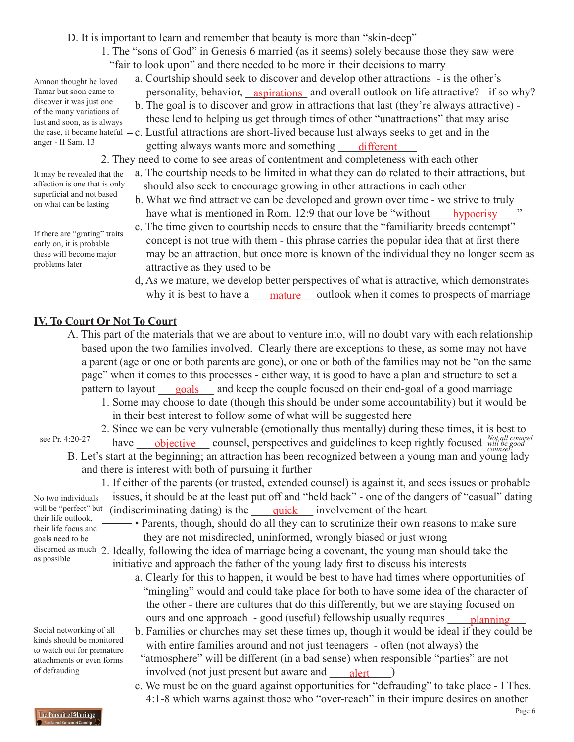D. It is important to learn and remember that beauty is more than "skin-deep"

- 1. The "sons of God" in Genesis 6 married (as it seems) solely because those they saw were "fair to look upon" and there needed to be more in their decisions to marry
- a. Courtship should seek to discover and develop other attractions is the other's Tamar but soon came to personality, behavior, aspirations and overall outlook on life attractive? - if so why? b. The goal is to discover and grow in attractions that last (they're always attractive)
	- these lend to helping us get through times of other "unattractions" that may arise
- the case, it became hateful  $-c$ . Lustful attractions are short-lived because lust always seeks to get and in the anger - II Sam. 13 getting always wants more and something  $\qquad$  different

2. They need to come to see areas of contentment and completeness with each other

- a. The courtship needs to be limited in what they can do related to their attractions, but should also seek to encourage growing in other attractions in each other
	- b. What we find attractive can be developed and grown over time we strive to truly have what is mentioned in Rom. 12:9 that our love be "without hypocrisy
	- c. The time given to courtship needs to ensure that the "familiarity breeds contempt" concept is not true with them - this phrase carries the popular idea that at first there may be an attraction, but once more is known of the individual they no longer seem as attractive as they used to be
- d, As we mature, we develop better perspectives of what is attractive, which demonstrates why it is best to have a <u>mature</u> outlook when it comes to prospects of marriage

### **IV. To Court Or Not To Court**

- A. This part of the materials that we are about to venture into, will no doubt vary with each relationship based upon the two families involved. Clearly there are exceptions to these, as some may not have a parent (age or one or both parents are gone), or one or both of the families may not be "on the same page" when it comes to this processes - either way, it is good to have a plan and structure to set a pattern to layout <u>goals</u> and keep the couple focused on their end-goal of a good marriage
	- 1. Some may choose to date (though this should be under some accountability) but it would be in their best interest to follow some of what will be suggested here
- 2. Since we can be very vulnerable (emotionally thus mentally) during these times, it is best to see Pr. 4:20-27 have **objective** counsel, perspectives and guidelines to keep rightly focused *Not all counsel* B. Let's start at the beginning; an attraction has been recognized between a young man and young lady and there is interest with both of pursuing it further see Pr. 4:20-27

 1. If either of the parents (or trusted, extended counsel) is against it, and sees issues or probable issues, it should be at the least put off and "held back" - one of the dangers of "casual" dating will be "perfect" but (indiscriminating dating) is the <u>quick</u> involvement of the heart No two individuals

their life outlook, their life focus and goals need to be as possible

Social networking of all kinds should be monitored to watch out for premature attachments or even forms of defrauding

• Parents, though, should do all they can to scrutinize their own reasons to make sure they are not misdirected, uninformed, wrongly biased or just wrong

discerned as much 2. Ideally, following the idea of marriage being a covenant, the young man should take the initiative and approach the father of the young lady first to discuss his interests

- a. Clearly for this to happen, it would be best to have had times where opportunities of "mingling" would and could take place for both to have some idea of the character of the other - there are cultures that do this differently, but we are staying focused on ours and one approach - good (useful) fellowship usually requires planning
- b. Families or churches may set these times up, though it would be ideal if they could be with entire families around and not just teenagers - often (not always) the "atmosphere" will be different (in a bad sense) when responsible "parties" are not involved (not just present but aware and <u>alert</u>)
- c. We must be on the guard against opportunities for "defrauding" to take place I Thes. 4:1-8 which warns against those who "over-reach" in their impure desires on another

Amnon thought he loved Tamar but soon came to discover it was just one of the many variations of lust and soon, as is always anger - II Sam. 13

It may be revealed that the affection is one that is only superficial and not based on what can be lasting

If there are "grating" traits early on, it is probable these will become major problems later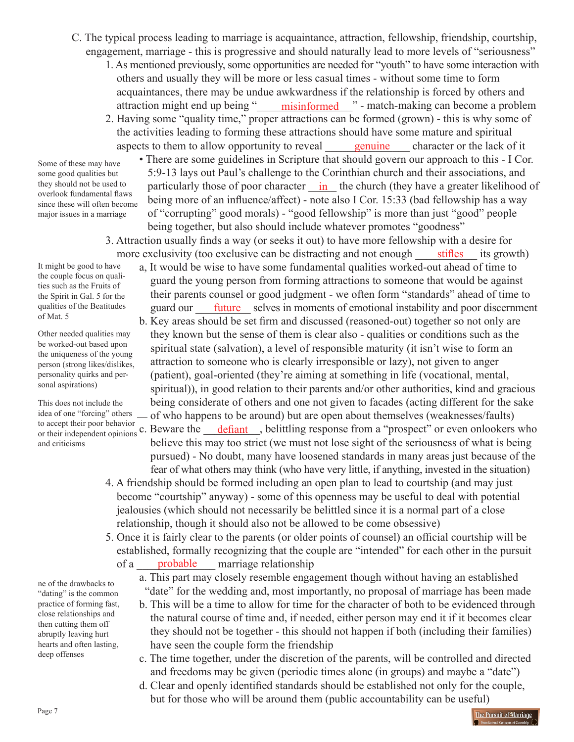- C. The typical process leading to marriage is acquaintance, attraction, fellowship, friendship, courtship, engagement, marriage - this is progressive and should naturally lead to more levels of "seriousness"
- 1. As mentioned previously, some opportunities are needed for "youth" to have some interaction with others and usually they will be more or less casual times - without some time to form acquaintances, there may be undue awkwardness if the relationship is forced by others and attraction might end up being "\_\_\_\_\_\_\_\_\_\_\_\_\_\_\_\_\_\_\_\_\_\_\_\_\_\_\_" - match-making can become a problem
- 2. Having some "quality time," proper attractions can be formed (grown) this is why some of the activities leading to forming these attractions should have some mature and spiritual aspects to them to allow opportunity to reveal <u>entilled become securine</u> character or the lack of it

Some of these may have some good qualities but they should not be used to overlook fundamental flaws since these will often become major issues in a marriage

- There are some guidelines in Scripture that should govern our approach to this I Cor. 5:9-13 lays out Paul's challenge to the Corinthian church and their associations, and they should not be used to particularly those of poor character  $\frac{in}{ }$  the church (they have a greater likelihood of being more of an influence/affect) - note also I Cor. 15:33 (bad fellowship has a way of "corrupting" good morals) - "good fellowship" is more than just "good" people being together, but also should include whatever promotes "goodness"
- 3. Attraction usually finds a way (or seeks it out) to have more fellowship with a desire for more exclusivity (too exclusive can be distracting and not enough <u>stifles</u> its growth)

It might be good to have the couple focus on qualities such as the Fruits of the Spirit in Gal. 5 for the qualities of the Beatitudes of Mat. 5

Other needed qualities may be worked-out based upon the uniqueness of the young person (strong likes/dislikes, personality quirks and personal aspirations)

This does not include the idea of one "forcing" others and criticisms

ne of the drawbacks to "dating" is the common practice of forming fast, close relationships and then cutting them off abruptly leaving hurt hearts and often lasting, deep offenses

- a, It would be wise to have some fundamental qualities worked-out ahead of time to guard the young person from forming attractions to someone that would be against their parents counsel or good judgment - we often form "standards" ahead of time to qualities of the Beatitudes guard our future selves in moments of emotional instability and poor discernment
	- b. Key areas should be set firm and discussed (reasoned-out) together so not only are they known but the sense of them is clear also - qualities or conditions such as the spiritual state (salvation), a level of responsible maturity (it isn't wise to form an attraction to someone who is clearly irresponsible or lazy), not given to anger (patient), goal-oriented (they're aiming at something in life (vocational, mental, spiritual)), in good relation to their parents and/or other authorities, kind and gracious being considerate of others and one not given to facades (acting different for the sake of who happens to be around) but are open about themselves (weaknesses/faults)
- to accept their poor behavior<br>or their independent opinions c. Beware the <u>defiant</u>, belittling response from a "prospect" or even onlookers who believe this may too strict (we must not lose sight of the seriousness of what is being pursued) - No doubt, many have loosened standards in many areas just because of the fear of what others may think (who have very little, if anything, invested in the situation) or their independent opinions  $\circ$ . Beware the <u>defiant</u>
	- 4. A friendship should be formed including an open plan to lead to courtship (and may just become "courtship" anyway) - some of this openness may be useful to deal with potential jealousies (which should not necessarily be belittled since it is a normal part of a close relationship, though it should also not be allowed to be come obsessive)
	- 5. Once it is fairly clear to the parents (or older points of counsel) an official courtship will be established, formally recognizing that the couple are "intended" for each other in the pursuit of a <u>probable</u> marriage relationship probable
		- a. This part may closely resemble engagement though without having an established "date" for the wedding and, most importantly, no proposal of marriage has been made
		- b. This will be a time to allow for time for the character of both to be evidenced through the natural course of time and, if needed, either person may end it if it becomes clear they should not be together - this should not happen if both (including their families) have seen the couple form the friendship
		- c. The time together, under the discretion of the parents, will be controlled and directed and freedoms may be given (periodic times alone (in groups) and maybe a "date")
		- d. Clear and openly identified standards should be established not only for the couple, but for those who will be around them (public accountability can be useful)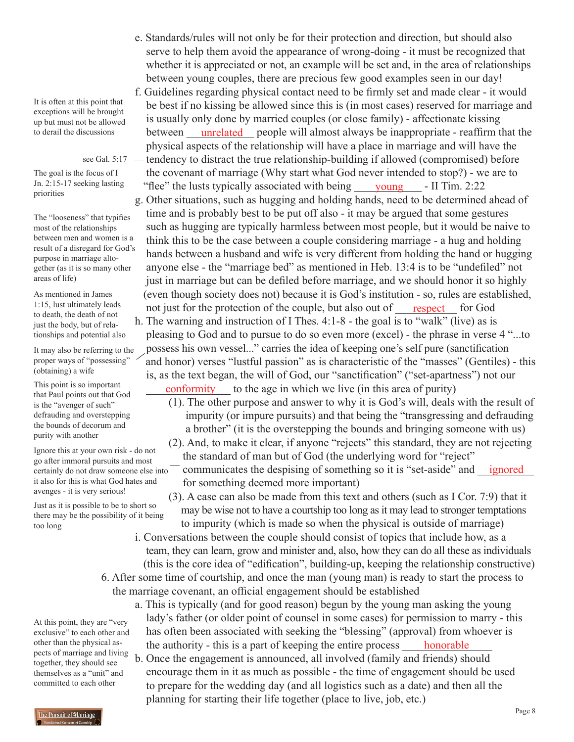- It is often at this point that exceptions will be brought up but must not be allowed to derail the discussions
	- see Gal. 5:17 -

The goal is the focus of I Jn. 2:15-17 seeking lasting priorities

The "looseness" that typifies most of the relationships between men and women is a result of a disregard for God's purpose in marriage altogether (as it is so many other areas of life)

As mentioned in James 1:15, lust ultimately leads to death, the death of not just the body, but of relationships and potential also

It may also be referring to the proper ways of "possessing" (obtaining) a wife

This point is so important that Paul points out that God is the "avenger of such" defrauding and overstepping the bounds of decorum and purity with another

Ignore this at your own risk - do not go after immoral pursuits and most certainly do not draw someone else into it also for this is what God hates and avenges - it is very serious!

Just as it is possible to be to short so there may be the possibility of it being too long

At this point, they are "very exclusive" to each other and other than the physical aspects of marriage and living together, they should see themselves as a "unit" and committed to each other

- e. Standards/rules will not only be for their protection and direction, but should also serve to help them avoid the appearance of wrong-doing - it must be recognized that whether it is appreciated or not, an example will be set and, in the area of relationships between young couples, there are precious few good examples seen in our day!
- f. Guidelines regarding physical contact need to be firmly set and made clear it would be best if no kissing be allowed since this is (in most cases) reserved for marriage and is usually only done by married couples (or close family) - affectionate kissing between <u>unrelated</u> people will almost always be inappropriate - reaffirm that the physical aspects of the relationship will have a place in marriage and will have the tendency to distract the true relationship-building if allowed (compromised) before the covenant of marriage (Why start what God never intended to stop?) - we are to
- "flee" the lusts typically associated with being <u>voung</u> II Tim. 2:22 g. Other situations, such as hugging and holding hands, need to be determined ahead of time and is probably best to be put off also - it may be argued that some gestures such as hugging are typically harmless between most people, but it would be naive to think this to be the case between a couple considering marriage - a hug and holding hands between a husband and wife is very different from holding the hand or hugging anyone else - the "marriage bed" as mentioned in Heb. 13:4 is to be "undefiled" not just in marriage but can be defiled before marriage, and we should honor it so highly (even though society does not) because it is God's institution - so, rules are established,
- not just for the protection of the couple, but also out of h. The warning and instruction of I Thes. 4:1-8 - the goal is to "walk" (live) as is pleasing to God and to pursue to do so even more (excel) - the phrase in verse 4 "...to possess his own vessel..." carries the idea of keeping one's self pure (sanctification and honor) verses "lustful passion" as is characteristic of the "masses" (Gentiles) - this is, as the text began, the will of God, our "sanctification" ("set-apartness") not our This point is so important<br>that Paul points out that God conformity to the age in which we live (in this area of purity) respect for God
	- (1). The other purpose and answer to why it is God's will, deals with the result of impurity (or impure pursuits) and that being the "transgressing and defrauding a brother" (it is the overstepping the bounds and bringing someone with us)
	- (2). And, to make it clear, if anyone "rejects" this standard, they are not rejecting the standard of man but of God (the underlying word for "reject"

certainly do not draw someone else into  $\overline{\phantom{a}}$  communicates the despising of something so it is "set-aside" and  $\overline{\phantom{a}}$  ignored for something deemed more important)

> (3). A case can also be made from this text and others (such as I Cor. 7:9) that it may be wise not to have a courtship too long as it may lead to stronger temptations to impurity (which is made so when the physical is outside of marriage)

- i. Conversations between the couple should consist of topics that include how, as a team, they can learn, grow and minister and, also, how they can do all these as individuals (this is the core idea of "edification", building-up, keeping the relationship constructive) 6. After some time of courtship, and once the man (young man) is ready to start the process to the marriage covenant, an official engagement should be established
	- a. This is typically (and for good reason) begun by the young man asking the young lady's father (or older point of counsel in some cases) for permission to marry - this has often been associated with seeking the "blessing" (approval) from whoever is the authority - this is a part of keeping the entire process \_\_\_\_\_\_\_\_\_\_\_\_\_\_\_\_ honorable
	- b. Once the engagement is announced, all involved (family and friends) should encourage them in it as much as possible - the time of engagement should be used to prepare for the wedding day (and all logistics such as a date) and then all the planning for starting their life together (place to live, job, etc.)